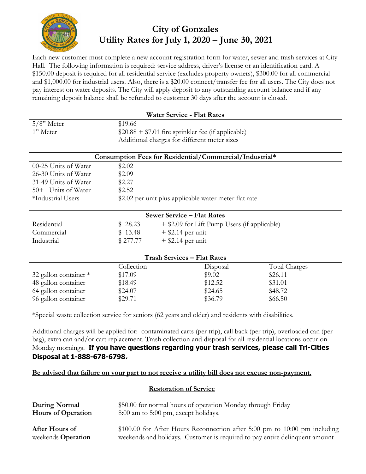

# **City of Gonzales Utility Rates for July 1, 2020 – June 30, 2021**

Each new customer must complete a new account registration form for water, sewer and trash services at City Hall. The following information is required: service address, driver's license or an identification card. A \$150.00 deposit is required for all residential service (excludes property owners), \$300.00 for all commercial and \$1,000.00 for industrial users. Also, there is a \$20.00 connect/transfer fee for all users. The City does not pay interest on water deposits. The City will apply deposit to any outstanding account balance and if any remaining deposit balance shall be refunded to customer 30 days after the account is closed.

| <b>Water Service - Flat Rates</b>                       |                                                       |                                              |               |  |  |  |
|---------------------------------------------------------|-------------------------------------------------------|----------------------------------------------|---------------|--|--|--|
| $5/8$ " Meter                                           | \$19.66                                               |                                              |               |  |  |  |
| 1" Meter                                                | $$20.88 + $7.01$ fire sprinkler fee (if applicable)   |                                              |               |  |  |  |
|                                                         | Additional charges for different meter sizes          |                                              |               |  |  |  |
| Consumption Fees for Residential/Commercial/Industrial* |                                                       |                                              |               |  |  |  |
| 00-25 Units of Water                                    | \$2.02                                                |                                              |               |  |  |  |
| 26-30 Units of Water                                    | \$2.09                                                |                                              |               |  |  |  |
| 31-49 Units of Water                                    | \$2.27                                                |                                              |               |  |  |  |
| 50+ Units of Water                                      | \$2.52                                                |                                              |               |  |  |  |
| *Industrial Users                                       | \$2.02 per unit plus applicable water meter flat rate |                                              |               |  |  |  |
| <b>Sewer Service - Flat Rates</b>                       |                                                       |                                              |               |  |  |  |
| Residential                                             | \$28.23                                               | + \$2.09 for Lift Pump Users (if applicable) |               |  |  |  |
| Commercial                                              | \$13.48<br>$+$ \$2.14 per unit                        |                                              |               |  |  |  |
| Industrial                                              | \$277.77                                              | $+$ \$2.14 per unit                          |               |  |  |  |
| <b>Trash Services - Flat Rates</b>                      |                                                       |                                              |               |  |  |  |
|                                                         | Collection                                            | Disposal                                     | Total Charges |  |  |  |
| 32 gallon container *                                   | \$17.09                                               | \$9.02                                       | \$26.11       |  |  |  |
| 48 gallon container                                     | \$18.49                                               | \$12.52                                      | \$31.01       |  |  |  |

\*Special waste collection service for seniors (62 years and older) and residents with disabilities.

64 gallon container \$24.07 \$24.65 \$48.72 96 gallon container \$29.71 \$36.79 \$66.50

Additional charges will be applied for: contaminated carts (per trip), call back (per trip), overloaded can (per bag), extra can and/or cart replacement. Trash collection and disposal for all residential locations occur on Monday mornings. **If you have questions regarding your trash services, please call Tri-Cities Disposal at 1-888-678-6798.**

### **Be advised that failure on your part to not receive a utility bill does not excuse non-payment.**

### **Restoration of Service**

| During Normal             | \$50.00 for normal hours of operation Monday through Friday                 |
|---------------------------|-----------------------------------------------------------------------------|
| <b>Hours of Operation</b> | 8:00 am to 5:00 pm, except holidays.                                        |
| After Hours of            | $$100.00$ for After Hours Reconnection after 5:00 pm to 10:00 pm including  |
| weekends <b>Operation</b> | weekends and holidays. Customer is required to pay entire delinquent amount |